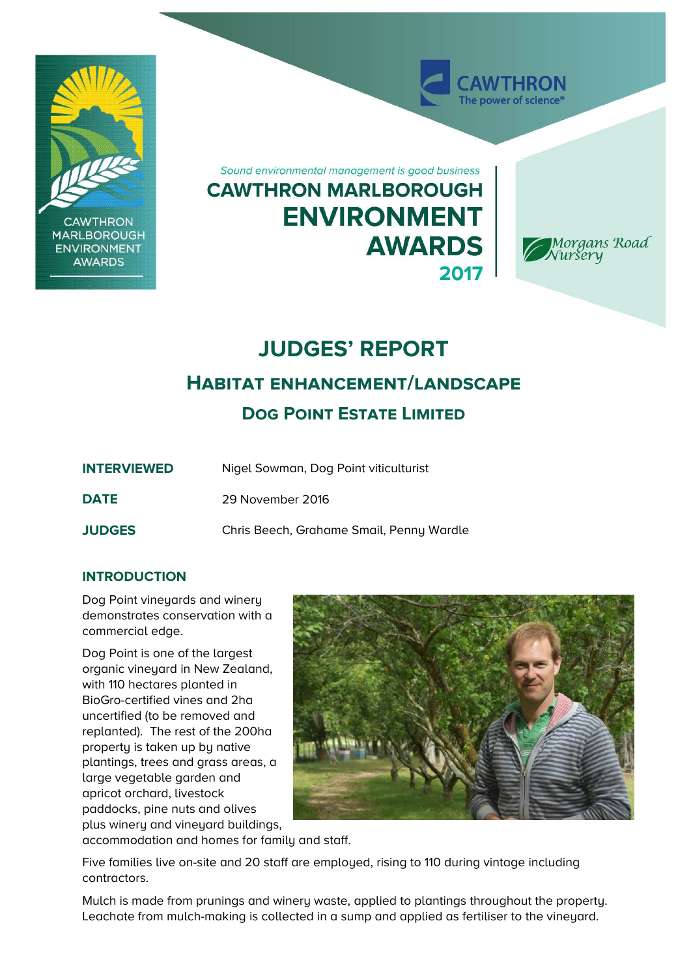

# **JUDGES' REPORT**

## **Habitat enhancement/landscape**

**Dog Point Estate Limited**

| <b>INTERVIEWED</b> | Nigel Sowman, Dog Point viticulturist    |
|--------------------|------------------------------------------|
| <b>DATE</b>        | 29 November 2016                         |
| <b>JUDGES</b>      | Chris Beech, Grahame Smail, Penny Wardle |

### **INTRODUCTION**

Dog Point vineyards and winery demonstrates conservation with a commercial edge.

Dog Point is one of the largest organic vineyard in New Zealand, with 110 hectares planted in BioGro-certified vines and 2ha uncertified (to be removed and replanted). The rest of the 200ha property is taken up by native plantings, trees and grass areas, a large vegetable garden and apricot orchard, livestock paddocks, pine nuts and olives plus winery and vineyard buildings,



accommodation and homes for family and staff.

Five families live on-site and 20 staff are employed, rising to 110 during vintage including contractors.

Mulch is made from prunings and winery waste, applied to plantings throughout the property. Leachate from mulch-making is collected in a sump and applied as fertiliser to the vineyard.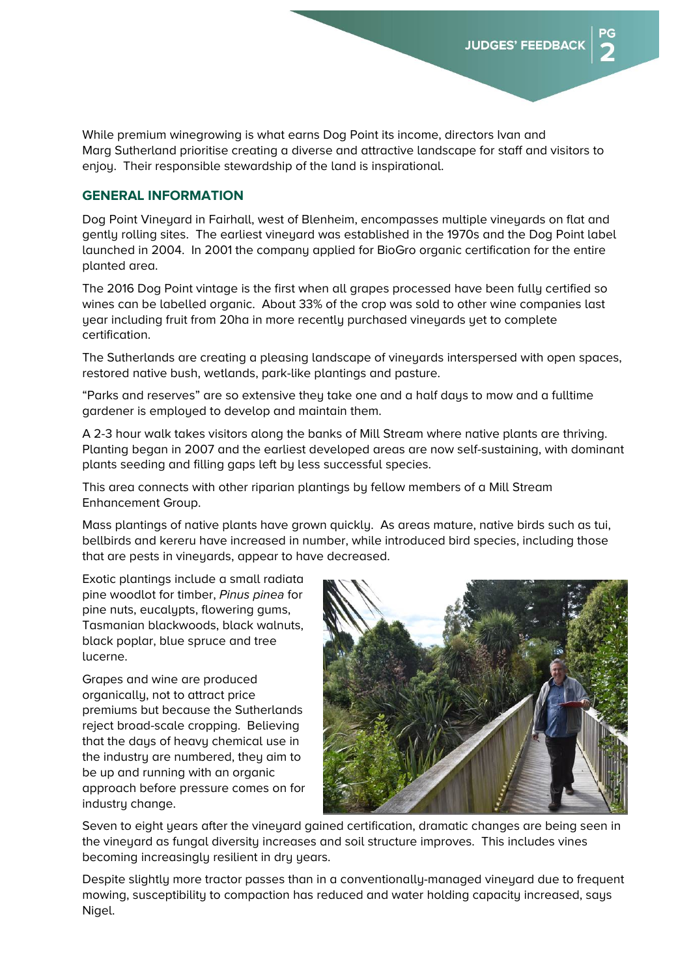While premium winegrowing is what earns Dog Point its income, directors Ivan and Marg Sutherland prioritise creating a diverse and attractive landscape for staff and visitors to enjoy. Their responsible stewardship of the land is inspirational.

#### **GENERAL INFORMATION**

Dog Point Vineyard in Fairhall, west of Blenheim, encompasses multiple vineyards on flat and gently rolling sites. The earliest vineyard was established in the 1970s and the Dog Point label launched in 2004. In 2001 the company applied for BioGro organic certification for the entire planted area.

The 2016 Dog Point vintage is the first when all grapes processed have been fully certified so wines can be labelled organic. About 33% of the crop was sold to other wine companies last year including fruit from 20ha in more recently purchased vineyards yet to complete certification.

The Sutherlands are creating a pleasing landscape of vineyards interspersed with open spaces, restored native bush, wetlands, park-like plantings and pasture.

"Parks and reserves" are so extensive they take one and a half days to mow and a fulltime gardener is employed to develop and maintain them.

A 2-3 hour walk takes visitors along the banks of Mill Stream where native plants are thriving. Planting began in 2007 and the earliest developed areas are now self-sustaining, with dominant plants seeding and filling gaps left by less successful species.

This area connects with other riparian plantings by fellow members of a Mill Stream Enhancement Group.

Mass plantings of native plants have grown quickly. As areas mature, native birds such as tui, bellbirds and kereru have increased in number, while introduced bird species, including those that are pests in vineyards, appear to have decreased.

Exotic plantings include a small radiata pine woodlot for timber, Pinus pinea for pine nuts, eucalypts, flowering gums, Tasmanian blackwoods, black walnuts, black poplar, blue spruce and tree lucerne.

Grapes and wine are produced organically, not to attract price premiums but because the Sutherlands reject broad-scale cropping. Believing that the days of heavy chemical use in the industry are numbered, they aim to be up and running with an organic approach before pressure comes on for industry change.



Seven to eight years after the vineyard gained certification, dramatic changes are being seen in the vineyard as fungal diversity increases and soil structure improves. This includes vines becoming increasingly resilient in dry years.

Despite slightly more tractor passes than in a conventionally-managed vineyard due to frequent mowing, susceptibility to compaction has reduced and water holding capacity increased, says Nigel.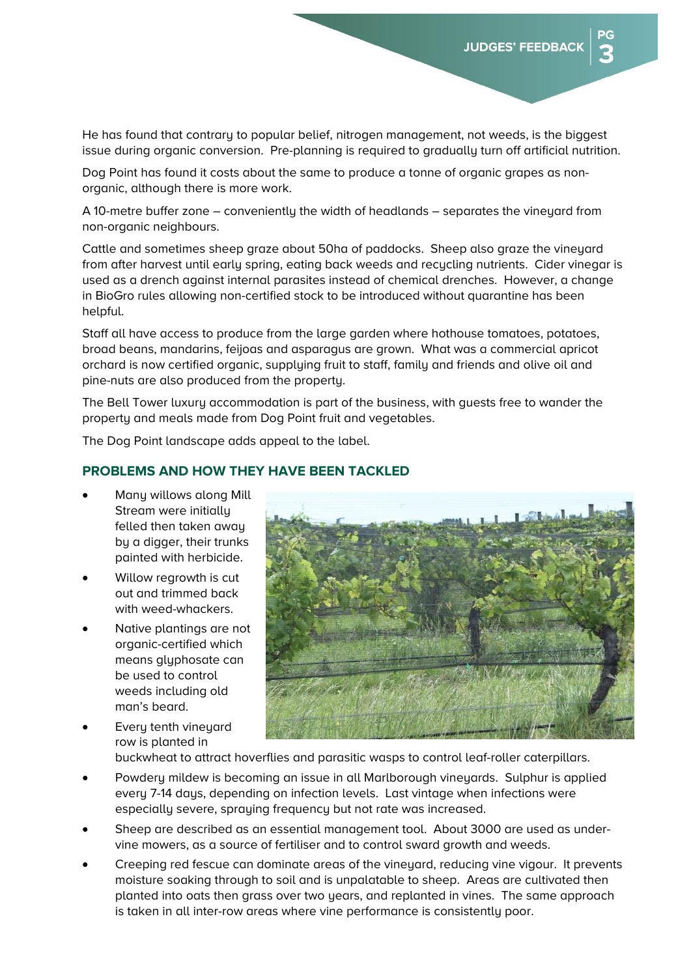He has found that contrary to popular belief, nitrogen management, not weeds, is the biggest issue during organic conversion. Pre-planning is required to gradually turn off artificial nutrition.

Dog Point has found it costs about the same to produce a tonne of organic grapes as nonorganic, although there is more work.

A 10-metre buffer zone – conveniently the width of headlands – separates the vineyard from non-organic neighbours.

Cattle and sometimes sheep graze about 50ha of paddocks. Sheep also graze the vineyard from after harvest until early spring, eating back weeds and recycling nutrients. Cider vinegar is used as a drench against internal parasites instead of chemical drenches. However, a change in BioGro rules allowing non-certified stock to be introduced without quarantine has been helpful.

Staff all have access to produce from the large garden where hothouse tomatoes, potatoes, broad beans, mandarins, feijoas and asparagus are grown. What was a commercial apricot orchard is now certified organic, supplying fruit to staff, family and friends and olive oil and pine-nuts are also produced from the property.

The Bell Tower luxury accommodation is part of the business, with guests free to wander the property and meals made from Dog Point fruit and vegetables.

The Dog Point landscape adds appeal to the label.

#### **PROBLEMS AND HOW THEY HAVE BEEN TACKLED**

- Many willows along Mill Stream were initially felled then taken away by a digger, their trunks painted with herbicide.
- Willow regrowth is cut out and trimmed back with weed-whackers.
- Native plantings are not organic-certified which means aluphosate can be used to control weeds including old man's beard.
- Every tenth vineyard row is planted in buckwheat to attract hoverflies and parasitic wasps to control leaf-roller caterpillars.
- Powdery mildew is becoming an issue in all Marlborough vineyards. Sulphur is applied every 7-14 days, depending on infection levels. Last vintage when infections were especially severe, spraying frequency but not rate was increased.
- Sheep are described as an essential management tool. About 3000 are used as undervine mowers, as a source of fertiliser and to control sward growth and weeds.
- Creeping red fescue can dominate areas of the vineyard, reducing vine vigour. It prevents moisture soaking through to soil and is unpalatable to sheep. Areas are cultivated then planted into oats then grass over two years, and replanted in vines. The same approach is taken in all inter-row areas where vine performance is consistently poor.

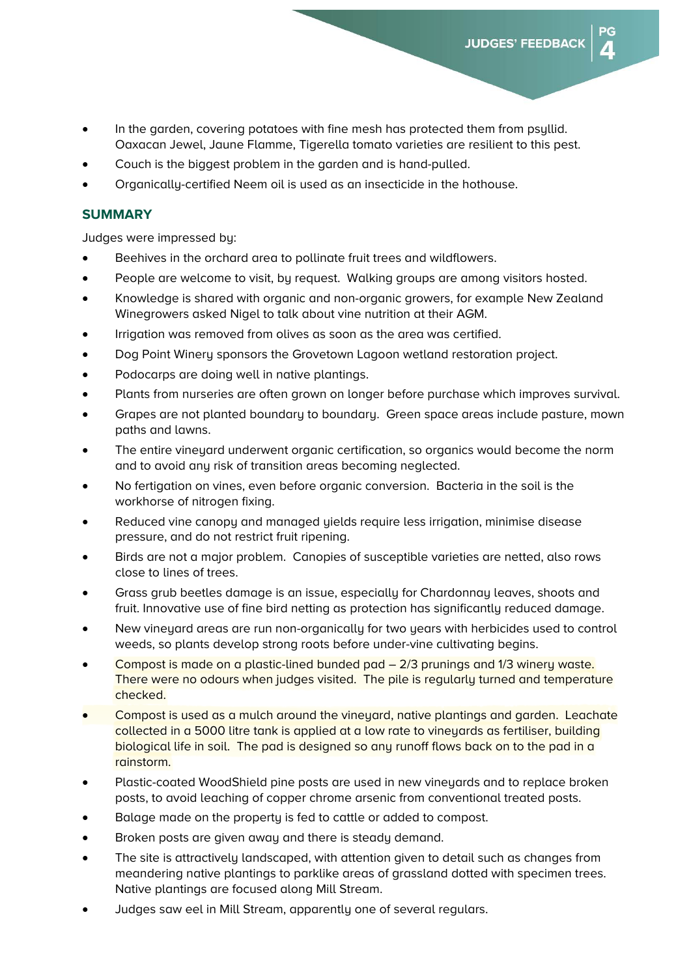- In the garden, covering potatoes with fine mesh has protected them from psyllid. Oaxacan Jewel, Jaune Flamme, Tigerella tomato varieties are resilient to this pest.
- Couch is the biggest problem in the garden and is hand-pulled.
- Organically-certified Neem oil is used as an insecticide in the hothouse.

#### **SUMMARY**

Judges were impressed by:

- x Beehives in the orchard area to pollinate fruit trees and wildflowers.
- People are welcome to visit, by request. Walking groups are among visitors hosted.
- Knowledge is shared with organic and non-organic growers, for example New Zealand Winegrowers asked Nigel to talk about vine nutrition at their AGM.
- Irrigation was removed from olives as soon as the area was certified.
- Dog Point Winery sponsors the Grovetown Lagoon wetland restoration project.
- Podocarps are doing well in native plantings.
- Plants from nurseries are often grown on longer before purchase which improves survival.
- Grapes are not planted boundary to boundary. Green space areas include pasture, mown paths and lawns.
- The entire vineyard underwent organic certification, so organics would become the norm and to avoid any risk of transition areas becoming neglected.
- No fertigation on vines, even before organic conversion. Bacteria in the soil is the workhorse of nitrogen fixing.
- x Reduced vine canopy and managed yields require less irrigation, minimise disease pressure, and do not restrict fruit ripening.
- Birds are not a major problem. Canopies of susceptible varieties are netted, also rows close to lines of trees.
- Grass grub beetles damage is an issue, especially for Chardonnay leaves, shoots and fruit. Innovative use of fine bird netting as protection has significantly reduced damage.
- New vineyard areas are run non-organically for two years with herbicides used to control weeds, so plants develop strong roots before under-vine cultivating begins.
- Compost is made on a plastic-lined bunded pad  $-$  2/3 prunings and 1/3 winery waste. There were no odours when judges visited. The pile is regularly turned and temperature checked.
- Compost is used as a mulch around the vineyard, native plantings and garden. Leachate collected in a 5000 litre tank is applied at a low rate to vineyards as fertiliser, building biological life in soil. The pad is designed so any runoff flows back on to the pad in a rainstorm.
- Plastic-coated WoodShield pine posts are used in new vineyards and to replace broken posts, to avoid leaching of copper chrome arsenic from conventional treated posts.
- Balage made on the property is fed to cattle or added to compost.
- Broken posts are given away and there is steady demand.
- The site is attractively landscaped, with attention given to detail such as changes from meandering native plantings to parklike areas of grassland dotted with specimen trees. Native plantings are focused along Mill Stream.
- Judges saw eel in Mill Stream, apparently one of several regulars.